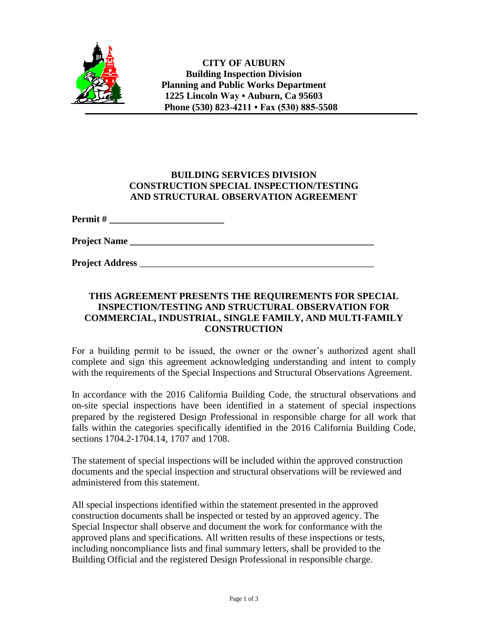

## **BUILDING SERVICES DIVISION CONSTRUCTION SPECIAL INSPECTION/TESTING AND STRUCTURAL OBSERVATION AGREEMENT**

**Permit # \_\_\_\_\_\_\_\_\_\_\_\_\_\_\_\_\_\_\_\_\_\_\_\_**

**Project Name \_\_\_\_\_\_\_\_\_\_\_\_\_\_\_\_\_\_\_\_\_\_\_\_\_\_\_\_\_\_\_\_\_\_\_\_\_\_\_\_\_\_\_\_\_\_\_\_\_\_\_**

**Project Address** \_\_\_\_\_\_\_\_\_\_\_\_\_\_\_\_\_\_\_\_\_\_\_\_\_\_\_\_\_\_\_\_\_\_\_\_\_\_\_\_\_\_\_\_\_\_\_\_\_

## **THIS AGREEMENT PRESENTS THE REQUIREMENTS FOR SPECIAL INSPECTION/TESTING AND STRUCTURAL OBSERVATION FOR COMMERCIAL, INDUSTRIAL, SINGLE FAMILY, AND MULTI-FAMILY CONSTRUCTION**

For a building permit to be issued, the owner or the owner's authorized agent shall complete and sign this agreement acknowledging understanding and intent to comply with the requirements of the Special Inspections and Structural Observations Agreement.

In accordance with the 2016 California Building Code, the structural observations and on-site special inspections have been identified in a statement of special inspections prepared by the registered Design Professional in responsible charge for all work that falls within the categories specifically identified in the 2016 California Building Code, sections 1704.2-1704.14, 1707 and 1708.

The statement of special inspections will be included within the approved construction documents and the special inspection and structural observations will be reviewed and administered from this statement.

All special inspections identified within the statement presented in the approved construction documents shall be inspected or tested by an approved agency. The Special Inspector shall observe and document the work for conformance with the approved plans and specifications. All written results of these inspections or tests, including noncompliance lists and final summary letters, shall be provided to the Building Official and the registered Design Professional in responsible charge.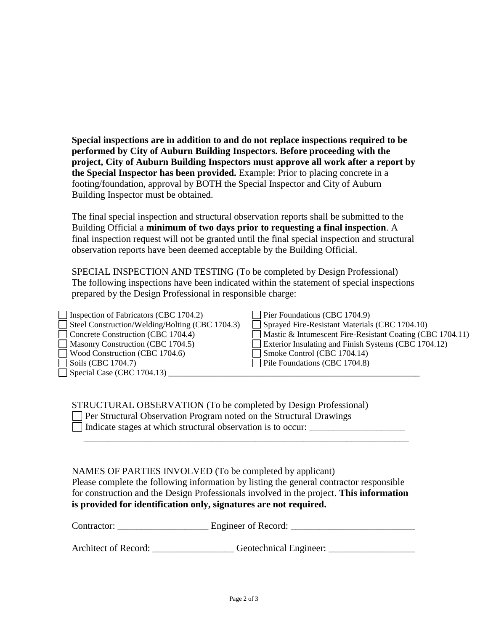**Special inspections are in addition to and do not replace inspections required to be performed by City of Auburn Building Inspectors. Before proceeding with the project, City of Auburn Building Inspectors must approve all work after a report by the Special Inspector has been provided.** Example: Prior to placing concrete in a footing/foundation, approval by BOTH the Special Inspector and City of Auburn Building Inspector must be obtained.

The final special inspection and structural observation reports shall be submitted to the Building Official a **minimum of two days prior to requesting a final inspection**. A final inspection request will not be granted until the final special inspection and structural observation reports have been deemed acceptable by the Building Official.

SPECIAL INSPECTION AND TESTING (To be completed by Design Professional) The following inspections have been indicated within the statement of special inspections prepared by the Design Professional in responsible charge:

| $\Box$ Inspection of Fabricators (CBC 1704.2)   | Pier Foundations (CBC 1704.9)                             |
|-------------------------------------------------|-----------------------------------------------------------|
| Steel Construction/Welding/Bolting (CBC 1704.3) | $\Box$ Sprayed Fire-Resistant Materials (CBC 1704.10)     |
| Concrete Construction (CBC 1704.4)              | Mastic & Intumescent Fire-Resistant Coating (CBC 1704.11) |
| Masonry Construction (CBC 1704.5)               | Exterior Insulating and Finish Systems (CBC 1704.12)      |
| Wood Construction (CBC 1704.6)                  | Smoke Control (CBC 1704.14)                               |
| $\Box$ Soils (CBC 1704.7)                       | $\Box$ Pile Foundations (CBC 1704.8)                      |
| $\Box$ Special Case (CBC 1704.13) $\Box$        |                                                           |
|                                                 |                                                           |

## STRUCTURAL OBSERVATION (To be completed by Design Professional) Per Structural Observation Program noted on the Structural Drawings Indicate stages at which structural observation is to occur:

NAMES OF PARTIES INVOLVED (To be completed by applicant) Please complete the following information by listing the general contractor responsible for construction and the Design Professionals involved in the project. **This information is provided for identification only, signatures are not required.** 

 $\overline{\phantom{a}}$  ,  $\overline{\phantom{a}}$  ,  $\overline{\phantom{a}}$  ,  $\overline{\phantom{a}}$  ,  $\overline{\phantom{a}}$  ,  $\overline{\phantom{a}}$  ,  $\overline{\phantom{a}}$  ,  $\overline{\phantom{a}}$  ,  $\overline{\phantom{a}}$  ,  $\overline{\phantom{a}}$  ,  $\overline{\phantom{a}}$  ,  $\overline{\phantom{a}}$  ,  $\overline{\phantom{a}}$  ,  $\overline{\phantom{a}}$  ,  $\overline{\phantom{a}}$  ,  $\overline{\phantom{a}}$ 

Contractor: \_\_\_\_\_\_\_\_\_\_\_\_\_\_\_\_\_\_\_ Engineer of Record: \_\_\_\_\_\_\_\_\_\_\_\_\_\_\_\_\_\_\_\_\_\_\_\_\_\_

Architect of Record: Geotechnical Engineer: